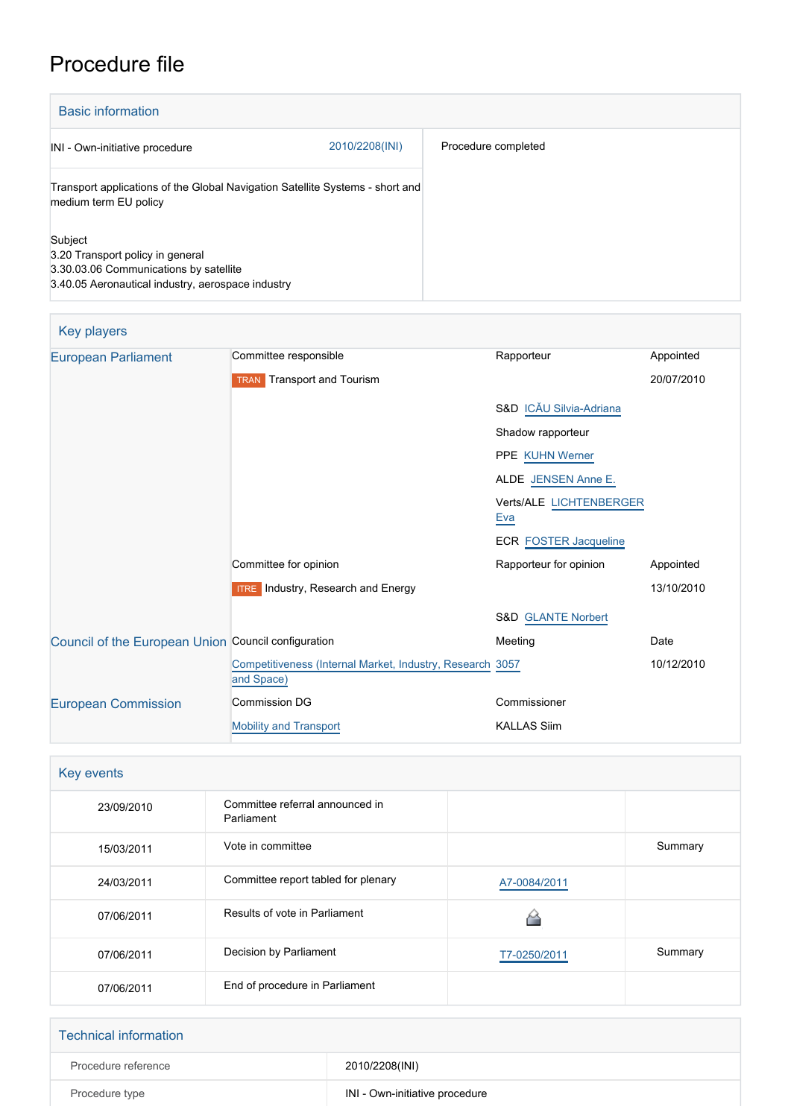# Procedure file

| <b>Basic information</b>                                                                                                                   |                |                     |
|--------------------------------------------------------------------------------------------------------------------------------------------|----------------|---------------------|
| INI - Own-initiative procedure                                                                                                             | 2010/2208(INI) | Procedure completed |
| Transport applications of the Global Navigation Satellite Systems - short and<br>medium term EU policy                                     |                |                     |
| Subject<br>3.20 Transport policy in general<br>3.30.03.06 Communications by satellite<br>3.40.05 Aeronautical industry, aerospace industry |                |                     |

| Key players                                         |                                                                         |                                |            |
|-----------------------------------------------------|-------------------------------------------------------------------------|--------------------------------|------------|
| <b>European Parliament</b>                          | Committee responsible                                                   | Rapporteur                     | Appointed  |
|                                                     | <b>TRAN</b> Transport and Tourism                                       |                                | 20/07/2010 |
|                                                     |                                                                         | S&D ICĂU Silvia-Adriana        |            |
|                                                     |                                                                         | Shadow rapporteur              |            |
|                                                     |                                                                         | <b>PPE KUHN Werner</b>         |            |
|                                                     |                                                                         | ALDE JENSEN Anne E.            |            |
|                                                     |                                                                         | Verts/ALE LICHTENBERGER<br>Eva |            |
|                                                     |                                                                         | <b>ECR FOSTER Jacqueline</b>   |            |
|                                                     | Committee for opinion                                                   | Rapporteur for opinion         | Appointed  |
|                                                     | <b>ITRE</b> Industry, Research and Energy                               |                                | 13/10/2010 |
|                                                     |                                                                         | <b>S&amp;D GLANTE Norbert</b>  |            |
| Council of the European Union Council configuration |                                                                         | Meeting                        | Date       |
|                                                     | Competitiveness (Internal Market, Industry, Research 3057<br>and Space) |                                | 10/12/2010 |
| <b>European Commission</b>                          | <b>Commission DG</b>                                                    | Commissioner                   |            |
|                                                     | <b>Mobility and Transport</b>                                           | <b>KALLAS Siim</b>             |            |

| Key events |                                               |              |         |
|------------|-----------------------------------------------|--------------|---------|
| 23/09/2010 | Committee referral announced in<br>Parliament |              |         |
| 15/03/2011 | Vote in committee                             |              | Summary |
| 24/03/2011 | Committee report tabled for plenary           | A7-0084/2011 |         |
| 07/06/2011 | Results of vote in Parliament                 |              |         |
| 07/06/2011 | Decision by Parliament                        | T7-0250/2011 | Summary |
| 07/06/2011 | End of procedure in Parliament                |              |         |

| <b>Technical information</b> |                                |
|------------------------------|--------------------------------|
| Procedure reference          | 2010/2208(INI)                 |
| Procedure type               | INI - Own-initiative procedure |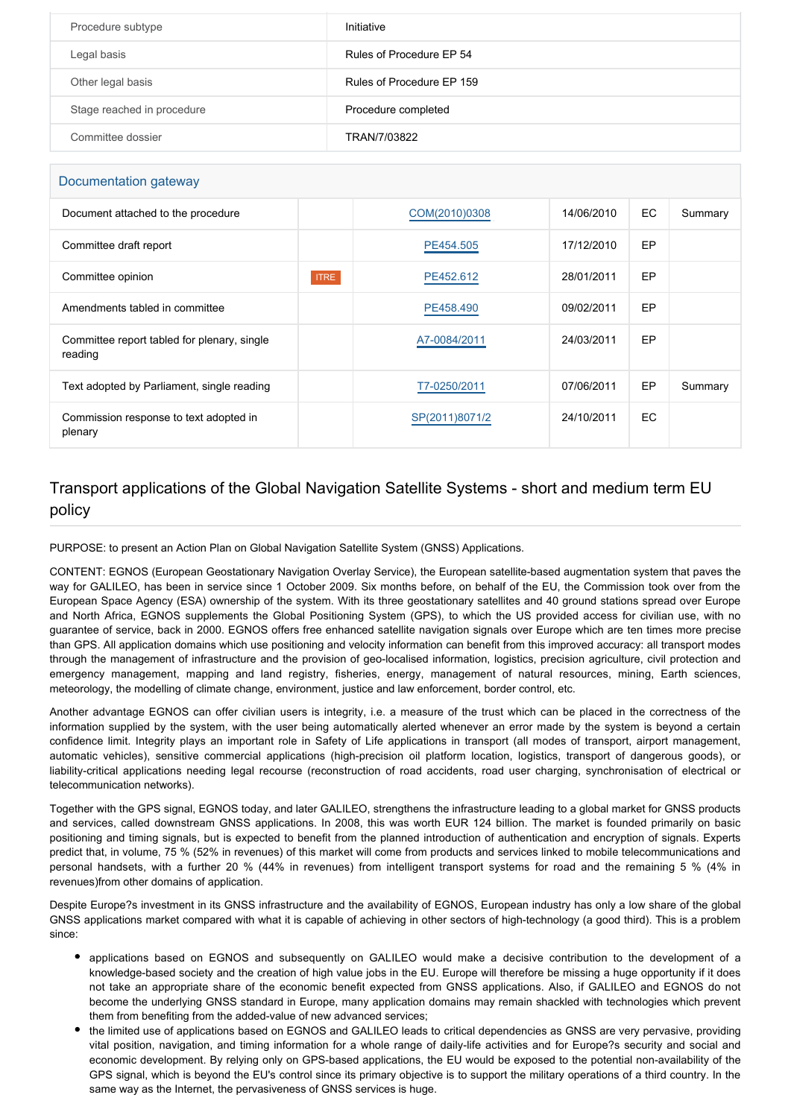| Procedure subtype          | Initiative                |
|----------------------------|---------------------------|
| Legal basis                | Rules of Procedure EP 54  |
| Other legal basis          | Rules of Procedure EP 159 |
| Stage reached in procedure | Procedure completed       |
| Committee dossier          | TRAN/7/03822              |

#### Documentation gateway

| Document attached to the procedure                     | COM(2010)0308  | 14/06/2010 | EC  | Summary |
|--------------------------------------------------------|----------------|------------|-----|---------|
| Committee draft report                                 | PE454.505      | 17/12/2010 | EP  |         |
| Committee opinion<br><b>ITRE</b>                       | PE452.612      | 28/01/2011 | EP  |         |
| Amendments tabled in committee                         | PE458,490      | 09/02/2011 | EP  |         |
| Committee report tabled for plenary, single<br>reading | A7-0084/2011   | 24/03/2011 | EP  |         |
| Text adopted by Parliament, single reading             | T7-0250/2011   | 07/06/2011 | EP  | Summary |
| Commission response to text adopted in<br>plenary      | SP(2011)8071/2 | 24/10/2011 | EC. |         |

### Transport applications of the Global Navigation Satellite Systems - short and medium term EU policy

PURPOSE: to present an Action Plan on Global Navigation Satellite System (GNSS) Applications.

CONTENT: EGNOS (European Geostationary Navigation Overlay Service), the European satellite-based augmentation system that paves the way for GALILEO, has been in service since 1 October 2009. Six months before, on behalf of the EU, the Commission took over from the European Space Agency (ESA) ownership of the system. With its three geostationary satellites and 40 ground stations spread over Europe and North Africa, EGNOS supplements the Global Positioning System (GPS), to which the US provided access for civilian use, with no guarantee of service, back in 2000. EGNOS offers free enhanced satellite navigation signals over Europe which are ten times more precise than GPS. All application domains which use positioning and velocity information can benefit from this improved accuracy: all transport modes through the management of infrastructure and the provision of geo-localised information, logistics, precision agriculture, civil protection and emergency management, mapping and land registry, fisheries, energy, management of natural resources, mining, Earth sciences, meteorology, the modelling of climate change, environment, justice and law enforcement, border control, etc.

Another advantage EGNOS can offer civilian users is integrity, i.e. a measure of the trust which can be placed in the correctness of the information supplied by the system, with the user being automatically alerted whenever an error made by the system is beyond a certain confidence limit. Integrity plays an important role in Safety of Life applications in transport (all modes of transport, airport management, automatic vehicles), sensitive commercial applications (high-precision oil platform location, logistics, transport of dangerous goods), or liability-critical applications needing legal recourse (reconstruction of road accidents, road user charging, synchronisation of electrical or telecommunication networks).

Together with the GPS signal, EGNOS today, and later GALILEO, strengthens the infrastructure leading to a global market for GNSS products and services, called downstream GNSS applications. In 2008, this was worth EUR 124 billion. The market is founded primarily on basic positioning and timing signals, but is expected to benefit from the planned introduction of authentication and encryption of signals. Experts predict that, in volume, 75 % (52% in revenues) of this market will come from products and services linked to mobile telecommunications and personal handsets, with a further 20 % (44% in revenues) from intelligent transport systems for road and the remaining 5 % (4% in revenues)from other domains of application.

Despite Europe?s investment in its GNSS infrastructure and the availability of EGNOS, European industry has only a low share of the global GNSS applications market compared with what it is capable of achieving in other sectors of high-technology (a good third). This is a problem since:

- applications based on EGNOS and subsequently on GALILEO would make a decisive contribution to the development of a knowledge-based society and the creation of high value jobs in the EU. Europe will therefore be missing a huge opportunity if it does not take an appropriate share of the economic benefit expected from GNSS applications. Also, if GALILEO and EGNOS do not become the underlying GNSS standard in Europe, many application domains may remain shackled with technologies which prevent them from benefiting from the added-value of new advanced services;
- the limited use of applications based on EGNOS and GALILEO leads to critical dependencies as GNSS are very pervasive, providing vital position, navigation, and timing information for a whole range of daily-life activities and for Europe?s security and social and economic development. By relying only on GPS-based applications, the EU would be exposed to the potential non-availability of the GPS signal, which is beyond the EU's control since its primary objective is to support the military operations of a third country. In the same way as the Internet, the pervasiveness of GNSS services is huge.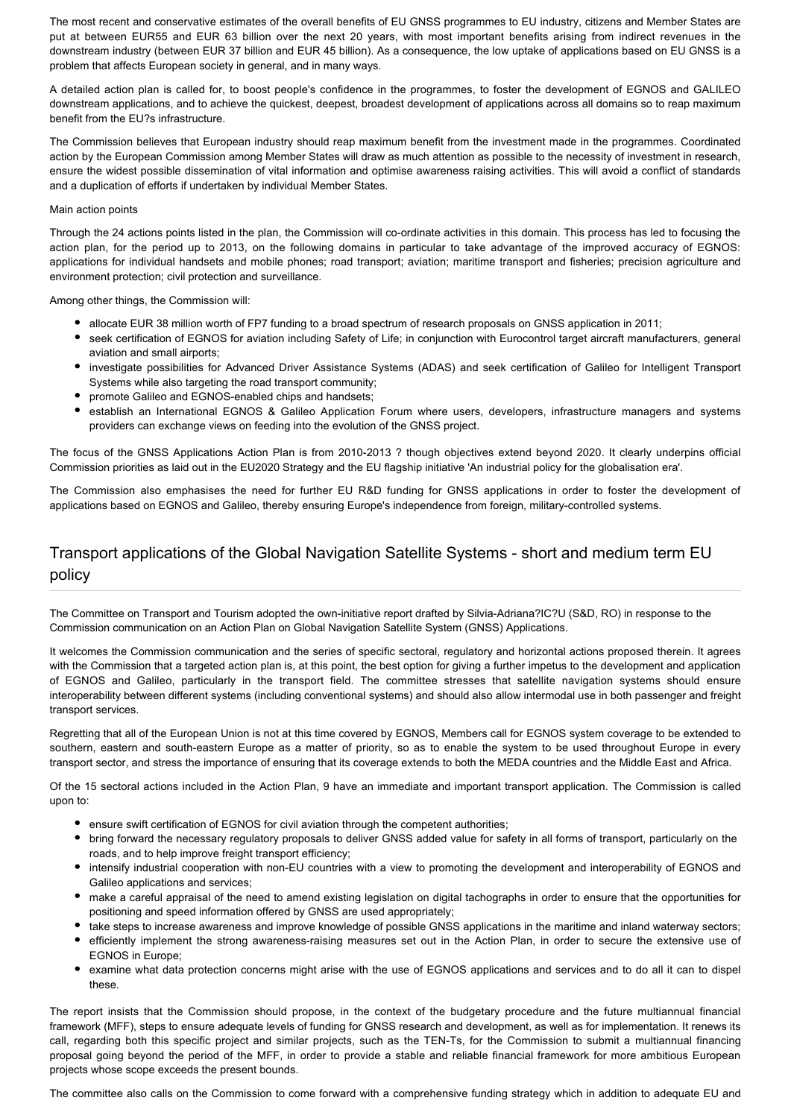The most recent and conservative estimates of the overall benefits of EU GNSS programmes to EU industry, citizens and Member States are put at between EUR55 and EUR 63 billion over the next 20 years, with most important benefits arising from indirect revenues in the downstream industry (between EUR 37 billion and EUR 45 billion). As a consequence, the low uptake of applications based on EU GNSS is a problem that affects European society in general, and in many ways.

A detailed action plan is called for, to boost people's confidence in the programmes, to foster the development of EGNOS and GALILEO downstream applications, and to achieve the quickest, deepest, broadest development of applications across all domains so to reap maximum benefit from the EU?s infrastructure.

The Commission believes that European industry should reap maximum benefit from the investment made in the programmes. Coordinated action by the European Commission among Member States will draw as much attention as possible to the necessity of investment in research, ensure the widest possible dissemination of vital information and optimise awareness raising activities. This will avoid a conflict of standards and a duplication of efforts if undertaken by individual Member States.

#### Main action points

Through the 24 actions points listed in the plan, the Commission will co-ordinate activities in this domain. This process has led to focusing the action plan, for the period up to 2013, on the following domains in particular to take advantage of the improved accuracy of EGNOS: applications for individual handsets and mobile phones; road transport; aviation; maritime transport and fisheries; precision agriculture and environment protection; civil protection and surveillance.

Among other things, the Commission will:

- allocate EUR 38 million worth of FP7 funding to a broad spectrum of research proposals on GNSS application in 2011;
- seek certification of EGNOS for aviation including Safety of Life; in conjunction with Eurocontrol target aircraft manufacturers, general aviation and small airports;
- investigate possibilities for Advanced Driver Assistance Systems (ADAS) and seek certification of Galileo for Intelligent Transport Systems while also targeting the road transport community;
- promote Galileo and EGNOS-enabled chips and handsets;
- establish an International EGNOS & Galileo Application Forum where users, developers, infrastructure managers and systems providers can exchange views on feeding into the evolution of the GNSS project.

The focus of the GNSS Applications Action Plan is from 2010-2013 ? though objectives extend beyond 2020. It clearly underpins official Commission priorities as laid out in the EU2020 Strategy and the EU flagship initiative 'An industrial policy for the globalisation era'.

The Commission also emphasises the need for further EU R&D funding for GNSS applications in order to foster the development of applications based on EGNOS and Galileo, thereby ensuring Europe's independence from foreign, military-controlled systems.

## Transport applications of the Global Navigation Satellite Systems - short and medium term EU policy

The Committee on Transport and Tourism adopted the own-initiative report drafted by Silvia-Adriana?IC?U (S&D, RO) in response to the Commission communication on an Action Plan on Global Navigation Satellite System (GNSS) Applications.

It welcomes the Commission communication and the series of specific sectoral, regulatory and horizontal actions proposed therein. It agrees with the Commission that a targeted action plan is, at this point, the best option for giving a further impetus to the development and application of EGNOS and Galileo, particularly in the transport field. The committee stresses that satellite navigation systems should ensure interoperability between different systems (including conventional systems) and should also allow intermodal use in both passenger and freight transport services.

Regretting that all of the European Union is not at this time covered by EGNOS, Members call for EGNOS system coverage to be extended to southern, eastern and south-eastern Europe as a matter of priority, so as to enable the system to be used throughout Europe in every transport sector, and stress the importance of ensuring that its coverage extends to both the MEDA countries and the Middle East and Africa.

Of the 15 sectoral actions included in the Action Plan, 9 have an immediate and important transport application. The Commission is called upon to:

- ensure swift certification of EGNOS for civil aviation through the competent authorities;
- bring forward the necessary regulatory proposals to deliver GNSS added value for safety in all forms of transport, particularly on the roads, and to help improve freight transport efficiency;
- intensify industrial cooperation with non-EU countries with a view to promoting the development and interoperability of EGNOS and Galileo applications and services;
- make a careful appraisal of the need to amend existing legislation on digital tachographs in order to ensure that the opportunities for positioning and speed information offered by GNSS are used appropriately;
- take steps to increase awareness and improve knowledge of possible GNSS applications in the maritime and inland waterway sectors;
- efficiently implement the strong awareness-raising measures set out in the Action Plan, in order to secure the extensive use of EGNOS in Europe;
- examine what data protection concerns might arise with the use of EGNOS applications and services and to do all it can to dispel these.

The report insists that the Commission should propose, in the context of the budgetary procedure and the future multiannual financial framework (MFF), steps to ensure adequate levels of funding for GNSS research and development, as well as for implementation. It renews its call, regarding both this specific project and similar projects, such as the TEN-Ts, for the Commission to submit a multiannual financing proposal going beyond the period of the MFF, in order to provide a stable and reliable financial framework for more ambitious European projects whose scope exceeds the present bounds.

The committee also calls on the Commission to come forward with a comprehensive funding strategy which in addition to adequate EU and